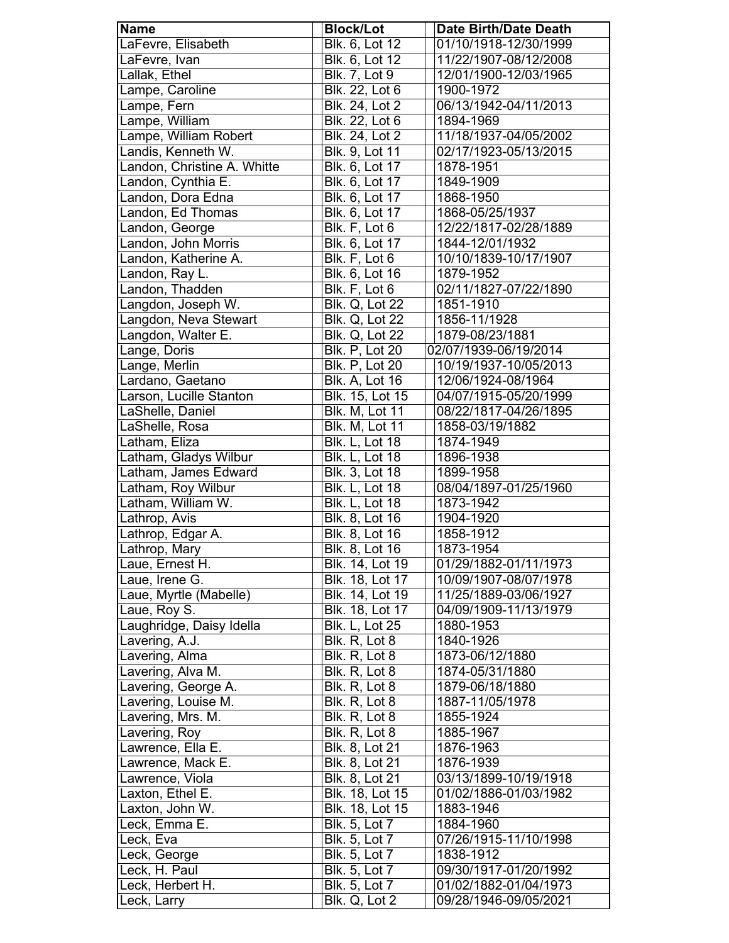| <b>Name</b>                 | <b>Block/Lot</b>      | <b>Date Birth/Date Death</b> |
|-----------------------------|-----------------------|------------------------------|
| LaFevre, Elisabeth          | Blk. 6, Lot 12        | 01/10/1918-12/30/1999        |
| LaFevre, Ivan               | Blk. 6, Lot 12        | 11/22/1907-08/12/2008        |
| Lallak, Ethel               | <b>Blk. 7, Lot 9</b>  | 12/01/1900-12/03/1965        |
| Lampe, Caroline             | Blk. 22, Lot 6        | 1900-1972                    |
| Lampe, Fern                 | Blk. 24, Lot 2        | 06/13/1942-04/11/2013        |
| Lampe, William              | Blk. 22, Lot 6        | 1894-1969                    |
| Lampe, William Robert       | Blk. 24, Lot 2        | 11/18/1937-04/05/2002        |
| Landis, Kenneth W.          | Blk. 9, Lot 11        | 02/17/1923-05/13/2015        |
| Landon, Christine A. Whitte | Blk. 6, Lot 17        | 1878-1951                    |
| Landon, Cynthia E.          | Blk. 6, Lot 17        | 1849-1909                    |
| Landon, Dora Edna           | Blk. 6, Lot 17        | 1868-1950                    |
| Landon, Ed Thomas           | Blk. 6, Lot 17        | 1868-05/25/1937              |
| Landon, George              | Blk. F, Lot 6         | 12/22/1817-02/28/1889        |
| Landon, John Morris         | Blk. 6, Lot 17        | 1844-12/01/1932              |
| Landon, Katherine A.        | Blk. F, Lot 6         | 10/10/1839-10/17/1907        |
| Landon, Ray L.              | Blk. 6, Lot 16        | 1879-1952                    |
| Landon, Thadden             | Blk. F, Lot 6         | 02/11/1827-07/22/1890        |
| Langdon, Joseph W.          | <b>Blk. Q, Lot 22</b> | 1851-1910                    |
| Langdon, Neva Stewart       | <b>Blk. Q, Lot 22</b> | 1856-11/1928                 |
| Langdon, Walter E.          | <b>Blk. Q, Lot 22</b> | 1879-08/23/1881              |
| Lange, Doris                | <b>Blk. P, Lot 20</b> | 02/07/1939-06/19/2014        |
| Lange, Merlin               | <b>Blk. P, Lot 20</b> | 10/19/1937-10/05/2013        |
| Lardano, Gaetano            | <b>Blk. A, Lot 16</b> | 12/06/1924-08/1964           |
| Larson, Lucille Stanton     | Blk. 15, Lot 15       | 04/07/1915-05/20/1999        |
| LaShelle, Daniel            | Blk. M, Lot 11        | 08/22/1817-04/26/1895        |
| LaShelle, Rosa              | Blk. M, Lot 11        | 1858-03/19/1882              |
| Latham, Eliza               | <b>Blk. L, Lot 18</b> | 1874-1949                    |
| Latham, Gladys Wilbur       | <b>Blk. L, Lot 18</b> | 1896-1938                    |
| Latham, James Edward        | Blk. 3, Lot 18        | 1899-1958                    |
| Latham, Roy Wilbur          | <b>Blk. L, Lot 18</b> | 08/04/1897-01/25/1960        |
| Latham, William W.          | <b>Blk. L, Lot 18</b> | 1873-1942                    |
| Lathrop, Avis               | Blk. 8, Lot 16        | 1904-1920                    |
| Lathrop, Edgar A.           | Blk. 8, Lot 16        | 1858-1912                    |
| Lathrop, Mary               | Blk. 8, Lot 16        | 1873-1954                    |
| Laue, Ernest H.             | Blk. 14, Lot 19       | 01/29/1882-01/11/1973        |
| Laue, Irene G.              | Blk. 18, Lot 17       | 10/09/1907-08/07/1978        |
| Laue, Myrtle (Mabelle)      | Blk. 14, Lot 19       | 11/25/1889-03/06/1927        |
| Laue, Roy S.                | Blk. 18, Lot 17       | 04/09/1909-11/13/1979        |
| Laughridge, Daisy Idella    | <b>Blk. L, Lot 25</b> | 1880-1953                    |
| Lavering, A.J.              | Blk. R, Lot 8         | 1840-1926                    |
| Lavering, Alma              | Blk. R, Lot 8         | 1873-06/12/1880              |
| Lavering, Alva M.           | Blk. R, Lot 8         | 1874-05/31/1880              |
| Lavering, George A.         | Blk. R, Lot 8         | 1879-06/18/1880              |
| Lavering, Louise M.         | Blk. R, Lot 8         | 1887-11/05/1978              |
| Lavering, Mrs. M.           | Blk. R, Lot 8         | 1855-1924                    |
| Lavering, Roy               | Blk. R, Lot 8         | 1885-1967                    |
| Lawrence, Ella E.           | Blk. 8, Lot 21        | 1876-1963                    |
| Lawrence, Mack E.           | Blk. 8, Lot 21        | 1876-1939                    |
| Lawrence, Viola             | Blk. 8, Lot 21        | 03/13/1899-10/19/1918        |
| Laxton, Ethel E.            | Blk. 18, Lot 15       | 01/02/1886-01/03/1982        |
| Laxton, John W.             | Blk. 18, Lot 15       | 1883-1946                    |
| Leck, Emma E.               | <b>Blk. 5, Lot 7</b>  | 1884-1960                    |
| Leck, Eva                   | Blk. 5, Lot 7         | 07/26/1915-11/10/1998        |
| Leck, George                | Blk. 5, Lot 7         | 1838-1912                    |
| Leck, H. Paul               | Blk. 5, Lot 7         | 09/30/1917-01/20/1992        |
| Leck, Herbert H.            | <b>Blk. 5, Lot 7</b>  | 01/02/1882-01/04/1973        |
| eck, Larry.                 | Blk. Q, Lot 2         | 09/28/1946-09/05/2021        |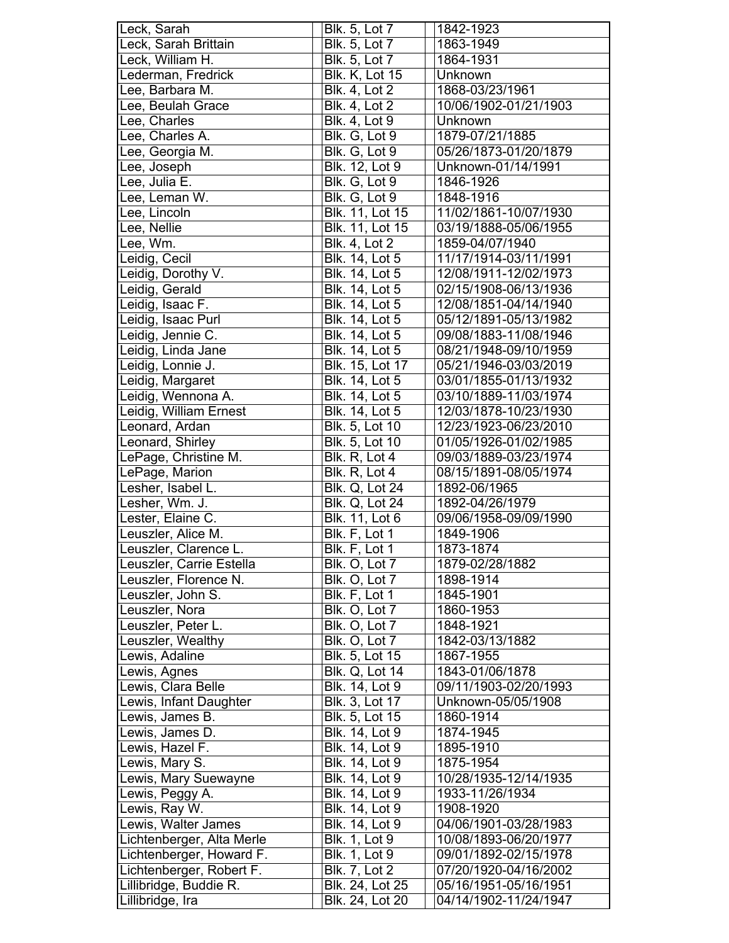| Leck, Sarah               | <b>Blk. 5, Lot 7</b>  | 1842-1923             |
|---------------------------|-----------------------|-----------------------|
| Leck, Sarah Brittain      | Blk. 5, Lot 7         | 1863-1949             |
| Leck, William H.          | Blk. 5, Lot 7         | 1864-1931             |
| Lederman, Fredrick        | <b>Blk. K, Lot 15</b> | Unknown               |
| Lee, Barbara M.           | <b>Blk. 4, Lot 2</b>  | 1868-03/23/1961       |
| Lee, Beulah Grace         | <b>Blk. 4, Lot 2</b>  | 10/06/1902-01/21/1903 |
| Lee, Charles              | <b>Blk. 4, Lot 9</b>  | Unknown               |
| Lee, Charles A.           | Blk. G, Lot 9         | 1879-07/21/1885       |
| Lee, Georgia M.           | Blk. G, Lot 9         | 05/26/1873-01/20/1879 |
| Lee, Joseph               | Blk. 12, Lot 9        | Unknown-01/14/1991    |
| Lee, Julia E.             | Blk. G, Lot 9         | 1846-1926             |
| Lee, Leman W.             | Blk. G, Lot 9         | 1848-1916             |
| Lee, Lincoln              | Blk. 11, Lot 15       | 11/02/1861-10/07/1930 |
| Lee, Nellie               | Blk. 11, Lot 15       | 03/19/1888-05/06/1955 |
| Lee, Wm.                  | <b>Blk.</b> 4, Lot 2  | 1859-04/07/1940       |
| Leidig, Cecil             | Blk. 14, Lot 5        | 11/17/1914-03/11/1991 |
| Leidig, Dorothy V.        | Blk. 14, Lot 5        | 12/08/1911-12/02/1973 |
| Leidig, Gerald            | Blk. 14, Lot 5        | 02/15/1908-06/13/1936 |
| Leidig, Isaac F.          |                       | 12/08/1851-04/14/1940 |
|                           | Blk. 14, Lot 5        |                       |
| Leidig, Isaac Purl        | Blk. 14, Lot 5        | 05/12/1891-05/13/1982 |
| Leidig, Jennie C.         | <b>Blk. 14, Lot 5</b> | 09/08/1883-11/08/1946 |
| Leidig, Linda Jane        | Blk. 14, Lot 5        | 08/21/1948-09/10/1959 |
| Leidig, Lonnie J.         | Blk. 15, Lot 17       | 05/21/1946-03/03/2019 |
| Leidig, Margaret          | Blk. 14, Lot 5        | 03/01/1855-01/13/1932 |
| Leidig, Wennona A.        | Blk. 14, Lot 5        | 03/10/1889-11/03/1974 |
| Leidig, William Ernest    | Blk. 14, Lot 5        | 12/03/1878-10/23/1930 |
| Leonard, Ardan            | Blk. 5, Lot 10        | 12/23/1923-06/23/2010 |
| Leonard, Shirley          | Blk. 5, Lot 10        | 01/05/1926-01/02/1985 |
| LePage, Christine M.      | Blk. R, Lot 4         | 09/03/1889-03/23/1974 |
| LePage, Marion            | Blk. R, Lot 4         | 08/15/1891-08/05/1974 |
| Lesher, Isabel L.         | Blk. Q, Lot 24        | 1892-06/1965          |
| Lesher, Wm. J.            | <b>Blk. Q, Lot 24</b> | 1892-04/26/1979       |
| Lester, Elaine C.         | Blk. 11, Lot 6        | 09/06/1958-09/09/1990 |
| Leuszler, Alice M.        | Blk. F, Lot 1         | 1849-1906             |
| Leuszler, Clarence L.     | Blk. F, Lot 1         | 1873-1874             |
| Leuszler, Carrie Estella  | Blk. O, Lot 7         | 1879-02/28/1882       |
| Leuszler, Florence N.     | Blk. O, Lot 7         | 1898-1914             |
| Leuszler, John S.         | Blk. F, Lot 1         | 1845-1901             |
| Leuszler, Nora            | Blk. O, Lot 7         | 1860-1953             |
| Leuszler, Peter L.        | Blk. O, Lot 7         | 1848-1921             |
| Leuszler, Wealthy         | Blk. O, Lot 7         | 1842-03/13/1882       |
| Lewis, Adaline            | Blk. 5, Lot 15        | 1867-1955             |
| Lewis, Agnes              | Blk. Q, Lot 14        | 1843-01/06/1878       |
| Lewis, Clara Belle        | Blk. 14, Lot 9        | 09/11/1903-02/20/1993 |
| Lewis, Infant Daughter    | Blk. 3, Lot 17        | Unknown-05/05/1908    |
| Lewis, James B.           | Blk. 5, Lot 15        | 1860-1914             |
| Lewis, James D.           | Blk. 14, Lot 9        | 1874-1945             |
| Lewis, Hazel F.           | Blk. 14, Lot 9        | 1895-1910             |
| Lewis, Mary S.            | Blk. 14, Lot 9        | 1875-1954             |
| Lewis, Mary Suewayne      | Blk. 14, Lot 9        | 10/28/1935-12/14/1935 |
| Lewis, Peggy A.           | Blk. 14, Lot 9        |                       |
|                           | Blk. 14, Lot 9        | 1933-11/26/1934       |
| Lewis, Ray W.             |                       | 1908-1920             |
| Lewis, Walter James       | Blk. 14, Lot 9        | 04/06/1901-03/28/1983 |
| Lichtenberger, Alta Merle | <b>Blk. 1, Lot 9</b>  | 10/08/1893-06/20/1977 |
| Lichtenberger, Howard F.  | <b>Blk. 1, Lot 9</b>  | 09/01/1892-02/15/1978 |
| Lichtenberger, Robert F.  | <b>Blk. 7, Lot 2</b>  | 07/20/1920-04/16/2002 |
| Lillibridge, Buddie R.    | Blk. 24, Lot 25       | 05/16/1951-05/16/1951 |
| Lillibridge, Ira          | Blk. 24, Lot 20       | 04/14/1902-11/24/1947 |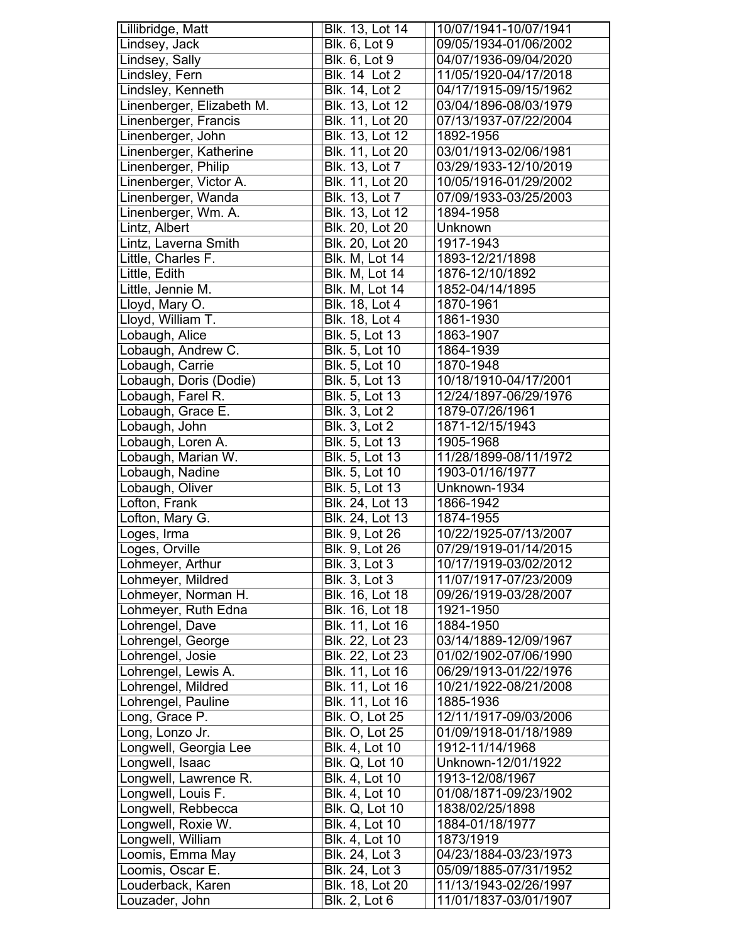| Lillibridge, Matt                   | Blk. 13, Lot 14                         | 10/07/1941-10/07/1941                          |
|-------------------------------------|-----------------------------------------|------------------------------------------------|
| Lindsey, Jack                       | Blk. 6, Lot 9                           | 09/05/1934-01/06/2002                          |
| Lindsey, Sally                      | Blk. 6, Lot 9                           | 04/07/1936-09/04/2020                          |
| Lindsley, Fern                      | <b>Blk. 14 Lot 2</b>                    | 11/05/1920-04/17/2018                          |
| Lindsley, Kenneth                   | Blk. 14, Lot 2                          | 04/17/1915-09/15/1962                          |
| Linenberger, Elizabeth M.           | Blk. 13, Lot 12                         | 03/04/1896-08/03/1979                          |
| Linenberger, Francis                | Blk. 11, Lot 20                         | 07/13/1937-07/22/2004                          |
| Linenberger, John                   | Blk. 13, Lot 12                         | 1892-1956                                      |
| Linenberger, Katherine              | Blk. 11, Lot 20                         | 03/01/1913-02/06/1981                          |
| Linenberger, Philip                 | Blk. 13, Lot 7                          | 03/29/1933-12/10/2019                          |
| Linenberger, Victor A.              | Blk. 11, Lot 20                         | 10/05/1916-01/29/2002                          |
| Linenberger, Wanda                  | <b>Blk. 13, Lot 7</b>                   | 07/09/1933-03/25/2003                          |
| Linenberger, Wm. A.                 | Blk. 13, Lot 12                         | 1894-1958                                      |
| Lintz, Albert                       | Blk. 20, Lot 20                         | Unknown                                        |
| Lintz, Laverna Smith                | Blk. 20, Lot 20                         | 1917-1943                                      |
| Little, Charles F.                  | Blk. M, Lot 14                          | 1893-12/21/1898                                |
| Little, Edith                       | Blk. M, Lot 14                          | 1876-12/10/1892                                |
| Little, Jennie M.                   | Blk. M, Lot 14                          | 1852-04/14/1895                                |
| Lloyd, Mary O.                      | Blk. 18, Lot 4                          | 1870-1961                                      |
| Lloyd, William T.                   | Blk. 18, Lot 4                          | 1861-1930                                      |
| Lobaugh, Alice                      | Blk. 5, Lot 13                          | 1863-1907                                      |
| Lobaugh, Andrew C.                  | Blk. 5, Lot 10                          | 1864-1939                                      |
| Lobaugh, Carrie                     | Blk. 5, Lot 10                          | 1870-1948                                      |
| Lobaugh, Doris (Dodie)              | Blk. 5, Lot 13                          | 10/18/1910-04/17/2001                          |
| Lobaugh, Farel R.                   | Blk. 5, Lot 13                          | 12/24/1897-06/29/1976                          |
| Lobaugh, Grace E.                   | <b>Blk.</b> 3, Lot 2                    | 1879-07/26/1961                                |
| Lobaugh, John                       | <b>Blk. 3, Lot 2</b>                    | 1871-12/15/1943                                |
| Lobaugh, Loren A.                   | <b>Blk. 5, Lot 13</b>                   | 1905-1968                                      |
| Lobaugh, Marian W.                  | Blk. 5, Lot 13                          | 11/28/1899-08/11/1972                          |
| Lobaugh, Nadine                     | Blk. 5, Lot 10                          | 1903-01/16/1977                                |
| Lobaugh, Oliver                     | Blk. 5, Lot 13                          | Unknown-1934                                   |
| Lofton, Frank                       | Blk. 24, Lot 13                         | 1866-1942                                      |
| Lofton, Mary G.                     | Blk. 24, Lot 13                         | 1874-1955                                      |
|                                     |                                         |                                                |
|                                     |                                         |                                                |
| Loges, Irma                         | Blk. 9, Lot 26                          | 10/22/1925-07/13/2007                          |
| Loges, Orville                      | Blk. 9, Lot 26                          | 07/29/1919-01/14/2015                          |
| Lohmeyer, Arthur                    | <b>Blk. 3, Lot 3</b>                    | 10/17/1919-03/02/2012                          |
| Lohmeyer, Mildred                   | <b>Blk. 3, Lot 3</b>                    | 11/07/1917-07/23/2009                          |
| Lohmeyer, Norman H.                 | Blk. 16, Lot 18                         | 09/26/1919-03/28/2007                          |
| Lohmeyer, Ruth Edna                 | Blk. 16, Lot 18                         | 1921-1950                                      |
| Lohrengel, Dave                     | Blk. 11, Lot 16                         | 1884-1950                                      |
| Lohrengel, George                   | Blk. 22, Lot 23                         | 03/14/1889-12/09/1967                          |
| Lohrengel, Josie                    | Blk. 22, Lot 23                         | 01/02/1902-07/06/1990                          |
| Lohrengel, Lewis A.                 | Blk. 11, Lot 16                         | 06/29/1913-01/22/1976                          |
| Lohrengel, Mildred                  | Blk. 11, Lot 16                         | 10/21/1922-08/21/2008                          |
| Lohrengel, Pauline                  | Blk. 11, Lot 16                         | 1885-1936                                      |
| Long, Grace P.                      | <b>Blk. O, Lot 25</b>                   | 12/11/1917-09/03/2006                          |
| Long, Lonzo Jr.                     | <b>Blk. O, Lot 25</b>                   | 01/09/1918-01/18/1989                          |
| Longwell, Georgia Lee               | <b>Blk. 4, Lot 10</b>                   | 1912-11/14/1968                                |
| Longwell, Isaac                     | <b>Blk. Q, Lot 10</b>                   | Unknown-12/01/1922                             |
| Longwell, Lawrence R.               | Blk. 4, Lot 10                          | 1913-12/08/1967                                |
| Longwell, Louis F.                  | Blk. 4, Lot 10                          | 01/08/1871-09/23/1902                          |
| Longwell, Rebbecca                  | <b>Blk. Q, Lot 10</b>                   | 1838/02/25/1898                                |
| Longwell, Roxie W.                  | Blk. 4, Lot 10                          | 1884-01/18/1977                                |
| Longwell, William                   | Blk. 4, Lot 10                          | 1873/1919                                      |
| Loomis, Emma May                    | Blk. 24, Lot 3                          | 04/23/1884-03/23/1973                          |
| Loomis, Oscar E.                    | Blk. 24, Lot 3                          | 05/09/1885-07/31/1952                          |
| Louderback, Karen<br>ouzader, John. | Blk. 18, Lot 20<br><b>Blk. 2, Lot 6</b> | 11/13/1943-02/26/1997<br>11/01/1837-03/01/1907 |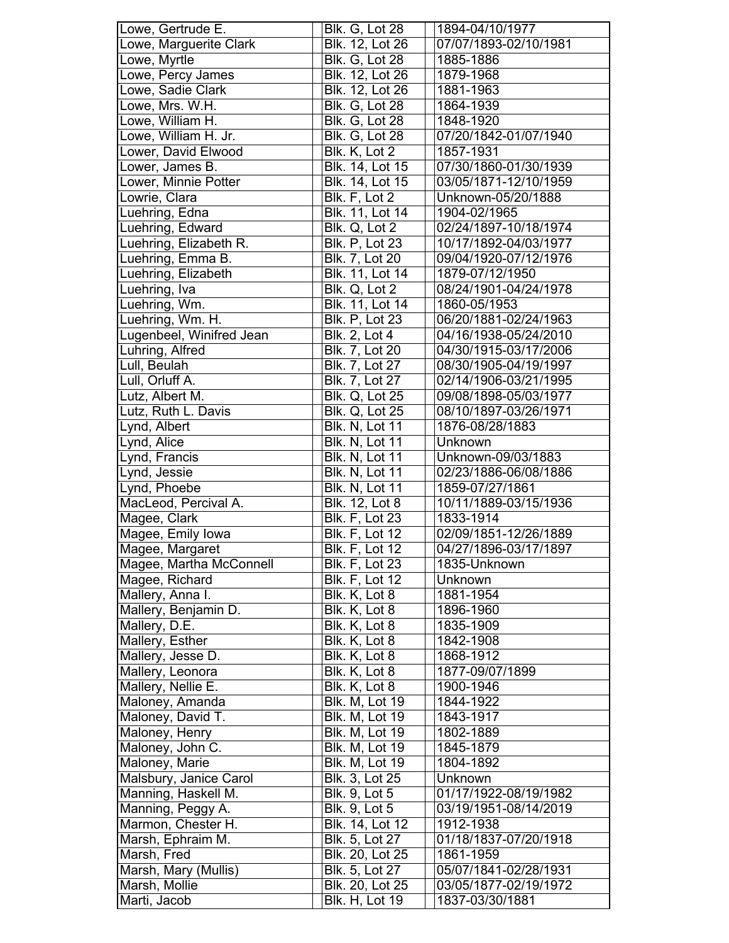| Lowe, Gertrude E.             | <b>Blk. G, Lot 28</b>                    | 1894-04/10/1977                          |
|-------------------------------|------------------------------------------|------------------------------------------|
| Lowe, Marguerite Clark        | Blk. 12, Lot 26                          | 07/07/1893-02/10/1981                    |
| Lowe, Myrtle                  | <b>Blk. G, Lot 28</b>                    | 1885-1886                                |
| Lowe, Percy James             | Blk. 12, Lot 26                          | 1879-1968                                |
| Lowe, Sadie Clark             | <b>Blk.</b> 12, Lot 26                   | 1881-1963                                |
| Lowe, Mrs. W.H.               | <b>Blk. G, Lot 28</b>                    | 1864-1939                                |
| Lowe, William H.              | <b>Blk. G, Lot 28</b>                    | 1848-1920                                |
| Lowe, William H. Jr.          | <b>Blk. G, Lot 28</b>                    | 07/20/1842-01/07/1940                    |
| Lower, David Elwood           | Blk. K, Lot 2                            | 1857-1931                                |
| Lower, James B.               | Blk. 14, Lot 15                          | 07/30/1860-01/30/1939                    |
| Lower, Minnie Potter          | Blk. 14, Lot 15                          | 03/05/1871-12/10/1959                    |
| Lowrie, Clara                 | Blk. F, Lot 2                            | Unknown-05/20/1888                       |
| Luehring, Edna                | Blk. 11, Lot 14                          | 1904-02/1965                             |
| Luehring, Edward              | Blk. Q, Lot 2                            | 02/24/1897-10/18/1974                    |
| Luehring, Elizabeth R.        | <b>Blk. P, Lot 23</b>                    | 10/17/1892-04/03/1977                    |
| Luehring, Emma B.             | Blk. 7, Lot 20                           | 09/04/1920-07/12/1976                    |
| Luehring, Elizabeth           | Blk. 11, Lot 14                          | 1879-07/12/1950                          |
| Luehring, Iva                 | Blk. Q, Lot 2                            | 08/24/1901-04/24/1978                    |
| Luehring, Wm.                 | Blk. 11, Lot 14                          | 1860-05/1953                             |
| Luehring, Wm. H.              | <b>Blk. P, Lot 23</b>                    | 06/20/1881-02/24/1963                    |
| Lugenbeel, Winifred Jean      | Blk. 2, Lot 4                            | 04/16/1938-05/24/2010                    |
| Luhring, Alfred               | Blk. 7, Lot 20                           | 04/30/1915-03/17/2006                    |
| Lull, Beulah                  | Blk. 7, Lot 27                           | 08/30/1905-04/19/1997                    |
| Lull, Orluff A.               | Blk. 7, Lot 27                           | 02/14/1906-03/21/1995                    |
| Lutz, Albert M.               | <b>Blk. Q, Lot 25</b>                    | 09/08/1898-05/03/1977                    |
| Lutz, Ruth L. Davis           | <b>Blk. Q, Lot 25</b>                    | 08/10/1897-03/26/1971                    |
| Lynd, Albert                  | <b>Blk. N, Lot 11</b>                    | 1876-08/28/1883                          |
| Lynd, Alice                   | <b>Blk. N, Lot 11</b>                    | Unknown                                  |
| Lynd, Francis                 | Blk. N, Lot 11                           | Unknown-09/03/1883                       |
| Lynd, Jessie                  | <b>Blk. N, Lot 11</b>                    | 02/23/1886-06/08/1886                    |
| Lynd, Phoebe                  | <b>Blk. N. Lot 11</b>                    | 1859-07/27/1861                          |
|                               |                                          |                                          |
|                               |                                          |                                          |
| MacLeod, Percival A.          | <b>Blk. 12, Lot 8</b>                    | 10/11/1889-03/15/1936                    |
| Magee, Clark                  | <b>Blk. F, Lot 23</b>                    | 1833-1914                                |
| Magee, Emily lowa             | <b>Blk. F, Lot 12</b>                    | 02/09/1851-12/26/1889                    |
| Magee, Margaret               | <b>Blk. F, Lot 12</b>                    | 04/27/1896-03/17/1897                    |
| Magee, Martha McConnell       | <b>Blk. F, Lot 23</b>                    | 1835-Unknown                             |
| Magee, Richard                | <b>Blk. F, Lot 12</b>                    | Unknown                                  |
| Mallery, Anna I.              | Blk. K, Lot 8                            | 1881-1954                                |
| Mallery, Benjamin D.          | Blk. K, Lot 8                            | 1896-1960                                |
| Mallery, D.E.                 | Blk. K, Lot 8                            | 1835-1909                                |
| Mallery, Esther               | Blk. K, Lot 8                            | 1842-1908                                |
| Mallery, Jesse D.             | Blk. K, Lot 8                            | 1868-1912                                |
| Mallery, Leonora              | Blk. K, Lot 8                            | 1877-09/07/1899                          |
| Mallery, Nellie E.            | Blk. K, Lot 8                            | 1900-1946                                |
| Maloney, Amanda               | <b>Blk. M, Lot 19</b>                    | 1844-1922                                |
| Maloney, David T.             | Blk. M, Lot 19                           | 1843-1917                                |
| Maloney, Henry                | <b>Blk. M, Lot 19</b>                    | 1802-1889                                |
| Maloney, John C.              | <b>Blk. M, Lot 19</b>                    | 1845-1879                                |
| Maloney, Marie                | <b>Blk. M, Lot 19</b>                    | 1804-1892                                |
| Malsbury, Janice Carol        | Blk. 3, Lot 25                           | Unknown                                  |
| Manning, Haskell M.           | Blk. 9, Lot 5                            | 01/17/1922-08/19/1982                    |
| Manning, Peggy A.             | Blk. 9, Lot 5                            | 03/19/1951-08/14/2019                    |
| Marmon, Chester H.            | Blk. 14, Lot 12                          | 1912-1938                                |
| Marsh, Ephraim M.             | Blk. 5, Lot 27                           | 01/18/1837-07/20/1918                    |
| Marsh, Fred                   | Blk. 20, Lot 25                          | 1861-1959                                |
| Marsh, Mary (Mullis)          | Blk. 5, Lot 27                           | 05/07/1841-02/28/1931                    |
| Marsh, Mollie<br>Marti, Jacob | Blk. 20, Lot 25<br><b>Blk. H, Lot 19</b> | 03/05/1877-02/19/1972<br>1837-03/30/1881 |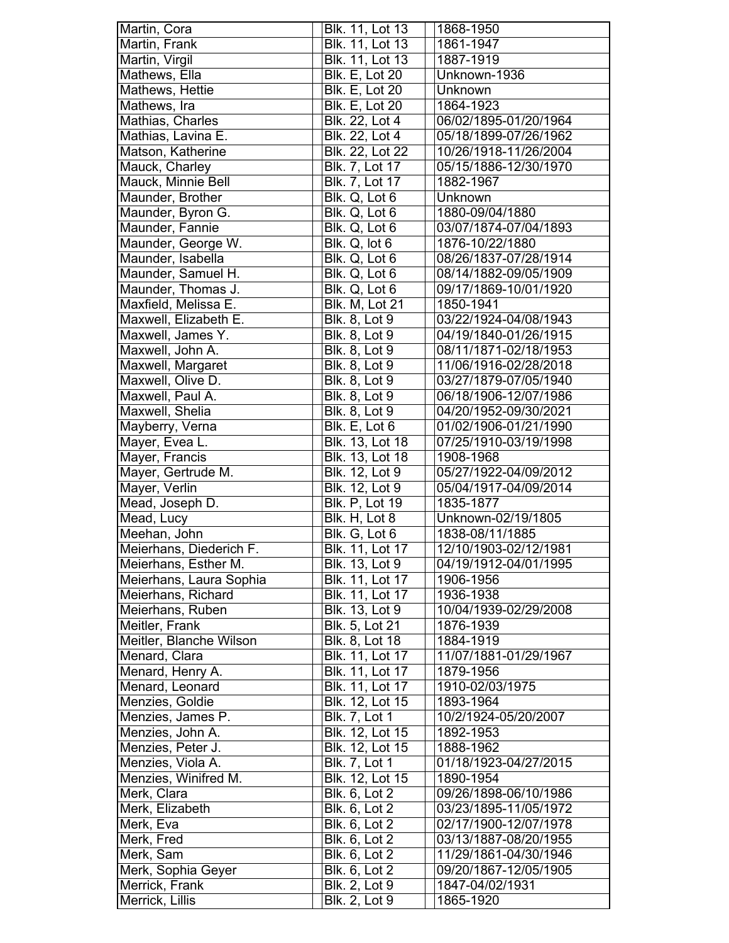| Martin, Cora            | Blk. 11, Lot 13        | 1868-1950             |
|-------------------------|------------------------|-----------------------|
| Martin, Frank           | <b>Blk. 11, Lot 13</b> | 1861-1947             |
| Martin, Virgil          | Blk. 11, Lot 13        | 1887-1919             |
| Mathews, Ella           | <b>Blk. E, Lot 20</b>  | Unknown-1936          |
| Mathews, Hettie         | <b>Blk. E, Lot 20</b>  | Unknown               |
| Mathews, Ira            | <b>Blk. E, Lot 20</b>  | 1864-1923             |
| Mathias, Charles        | Blk. 22, Lot 4         | 06/02/1895-01/20/1964 |
| Mathias, Lavina E.      | Blk. 22, Lot 4         | 05/18/1899-07/26/1962 |
| Matson, Katherine       | Blk. 22, Lot 22        | 10/26/1918-11/26/2004 |
| Mauck, Charley          | Blk. 7, Lot 17         | 05/15/1886-12/30/1970 |
| Mauck, Minnie Bell      | Blk. 7, Lot 17         | 1882-1967             |
| Maunder, Brother        |                        |                       |
|                         | Blk. Q, Lot 6          | Unknown               |
| Maunder, Byron G.       | Blk. Q, Lot 6          | 1880-09/04/1880       |
| Maunder, Fannie         | Blk. Q, Lot 6          | 03/07/1874-07/04/1893 |
| Maunder, George W.      | Blk. Q, lot 6          | 1876-10/22/1880       |
| Maunder, Isabella       | Blk. Q, Lot 6          | 08/26/1837-07/28/1914 |
| Maunder, Samuel H.      | Blk. Q, Lot 6          | 08/14/1882-09/05/1909 |
| Maunder, Thomas J.      | Blk. Q, Lot 6          | 09/17/1869-10/01/1920 |
| Maxfield, Melissa E.    | <b>Blk. M, Lot 21</b>  | 1850-1941             |
| Maxwell, Elizabeth E.   | <b>Blk. 8, Lot 9</b>   | 03/22/1924-04/08/1943 |
| Maxwell, James Y.       | Blk. 8, Lot 9          | 04/19/1840-01/26/1915 |
| Maxwell, John A.        | <b>Blk. 8, Lot 9</b>   | 08/11/1871-02/18/1953 |
| Maxwell, Margaret       | <b>Blk. 8, Lot 9</b>   | 11/06/1916-02/28/2018 |
| Maxwell, Olive D.       | <b>Blk. 8, Lot 9</b>   | 03/27/1879-07/05/1940 |
| Maxwell, Paul A.        | <b>Blk. 8, Lot 9</b>   | 06/18/1906-12/07/1986 |
| Maxwell, Shelia         | <b>Blk. 8, Lot 9</b>   | 04/20/1952-09/30/2021 |
| Mayberry, Verna         | Blk. E, Lot 6          | 01/02/1906-01/21/1990 |
| Mayer, Evea L.          | Blk. 13, Lot 18        | 07/25/1910-03/19/1998 |
| Mayer, Francis          | <b>Blk. 13, Lot 18</b> | 1908-1968             |
| Mayer, Gertrude M.      | Blk. 12, Lot 9         | 05/27/1922-04/09/2012 |
| Mayer, Verlin           | Blk. 12, Lot 9         | 05/04/1917-04/09/2014 |
| Mead, Joseph D.         | <b>Blk. P, Lot 19</b>  | 1835-1877             |
| Mead, Lucy              | Blk. H, Lot 8          | Unknown-02/19/1805    |
| Meehan, John            | Blk. G, Lot 6          | 1838-08/11/1885       |
| Meierhans, Diederich F. | <b>Blk. 11, Lot 17</b> | 12/10/1903-02/12/1981 |
| Meierhans, Esther M.    | Blk. 13, Lot 9         | 04/19/1912-04/01/1995 |
| Meierhans, Laura Sophia | Blk. 11, Lot 17        | 1906-1956             |
| Meierhans, Richard      | Blk. 11, Lot 17        | 1936-1938             |
| Meierhans, Ruben        | Blk. 13, Lot 9         | 10/04/1939-02/29/2008 |
| Meitler, Frank          | Blk. 5, Lot 21         | 1876-1939             |
| Meitler, Blanche Wilson | Blk. 8, Lot 18         | 1884-1919             |
| Menard, Clara           | Blk. 11, Lot 17        | 11/07/1881-01/29/1967 |
| Menard, Henry A.        | Blk. 11, Lot 17        | 1879-1956             |
| Menard, Leonard         | Blk. 11, Lot 17        | 1910-02/03/1975       |
| Menzies, Goldie         | Blk. 12, Lot 15        | 1893-1964             |
| Menzies, James P.       | <b>Blk. 7, Lot 1</b>   | 10/2/1924-05/20/2007  |
| Menzies, John A.        | Blk. 12, Lot 15        | 1892-1953             |
|                         | Blk. 12, Lot 15        |                       |
| Menzies, Peter J.       |                        | 1888-1962             |
| Menzies, Viola A.       | <b>Blk. 7, Lot 1</b>   | 01/18/1923-04/27/2015 |
| Menzies, Winifred M.    | Blk. 12, Lot 15        | 1890-1954             |
| Merk, Clara             | Blk. 6, Lot 2          | 09/26/1898-06/10/1986 |
| Merk, Elizabeth         | <b>Blk. 6, Lot 2</b>   | 03/23/1895-11/05/1972 |
| Merk, Eva               | <b>Blk. 6, Lot 2</b>   | 02/17/1900-12/07/1978 |
| Merk, Fred              | Blk. 6, Lot 2          | 03/13/1887-08/20/1955 |
| Merk, Sam               | <b>Blk. 6, Lot 2</b>   | 11/29/1861-04/30/1946 |
| Merk, Sophia Geyer      | <b>Blk. 6, Lot 2</b>   | 09/20/1867-12/05/1905 |
| Merrick, Frank          | <b>Blk. 2, Lot 9</b>   | 1847-04/02/1931       |
| Merrick, Lillis         | <b>Blk. 2, Lot 9</b>   | 1865-1920             |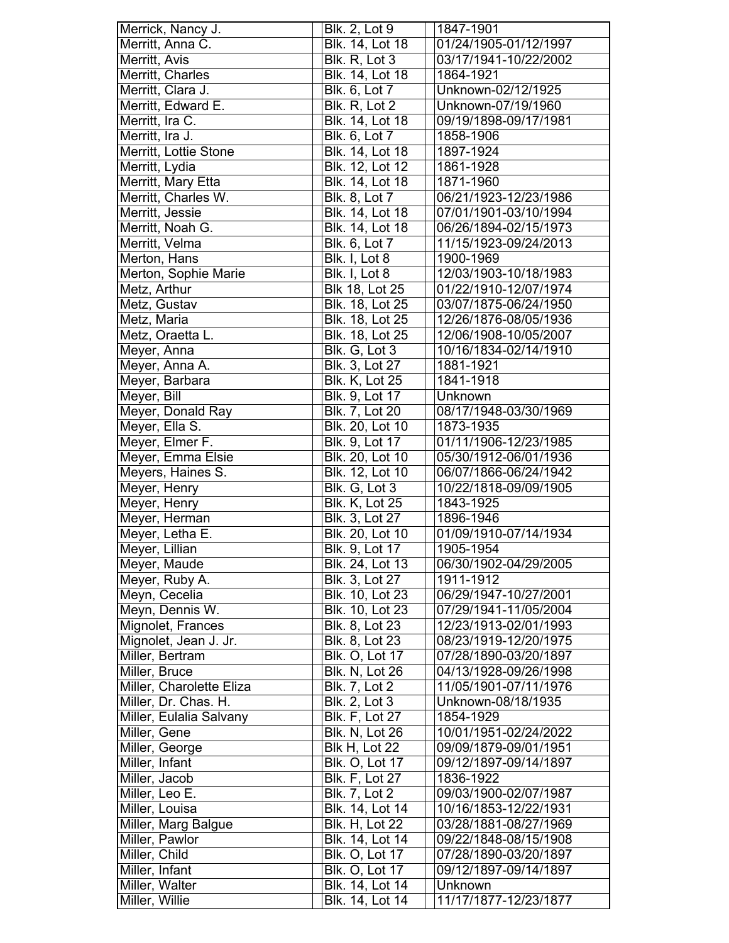| Merrick, Nancy J.                | <b>Blk. 2, Lot 9</b>               | 1847-1901                        |
|----------------------------------|------------------------------------|----------------------------------|
| Merritt, Anna C.                 | Blk. 14, Lot 18                    | 01/24/1905-01/12/1997            |
| Merritt, Avis                    | Blk. R, Lot 3                      | 03/17/1941-10/22/2002            |
| Merritt, Charles                 | Blk. 14, Lot 18                    | 1864-1921                        |
| Merritt, Clara J.                | Blk. 6, Lot 7                      | Unknown-02/12/1925               |
| Merritt, Edward E.               | Blk. R, Lot 2                      | Unknown-07/19/1960               |
| Merritt, Ira C.                  | Blk. 14, Lot 18                    | 09/19/1898-09/17/1981            |
| Merritt, Ira J.                  | Blk. 6, Lot 7                      | 1858-1906                        |
| Merritt, Lottie Stone            | Blk. 14, Lot 18                    | 1897-1924                        |
| Merritt, Lydia                   | Blk. 12, Lot 12                    | 1861-1928                        |
| Merritt, Mary Etta               | Blk. 14, Lot 18                    | 1871-1960                        |
| Merritt, Charles W.              | Blk. 8, Lot 7                      | 06/21/1923-12/23/1986            |
|                                  |                                    |                                  |
| Merritt, Jessie                  | Blk. 14, Lot 18                    | 07/01/1901-03/10/1994            |
| Merritt, Noah G.                 | Blk. 14, Lot 18                    | 06/26/1894-02/15/1973            |
| Merritt, Velma                   | Blk. 6, Lot 7                      | 11/15/1923-09/24/2013            |
| Merton, Hans                     | Blk. I, Lot 8                      | 1900-1969                        |
| Merton, Sophie Marie             | Blk. I, Lot 8                      | 12/03/1903-10/18/1983            |
| Metz, Arthur                     | <b>Blk 18, Lot 25</b>              | 01/22/1910-12/07/1974            |
| Metz, Gustav                     | Blk. 18, Lot 25                    | 03/07/1875-06/24/1950            |
| Metz, Maria                      | Blk. 18, Lot 25                    | 12/26/1876-08/05/1936            |
| Metz, Oraetta L.                 | Blk. 18, Lot 25                    | 12/06/1908-10/05/2007            |
| Meyer, Anna                      | Blk. G, Lot 3                      | 10/16/1834-02/14/1910            |
| Meyer, Anna A.                   | Blk. 3, Lot 27                     | 1881-1921                        |
| Meyer, Barbara                   | <b>Blk. K, Lot 25</b>              | 1841-1918                        |
| Meyer, Bill                      | Blk. 9, Lot 17                     | Unknown                          |
| Meyer, Donald Ray                | Blk. 7, Lot 20                     | 08/17/1948-03/30/1969            |
| Meyer, Ella S.                   | Blk. 20, Lot 10                    | 1873-1935                        |
| Meyer, Elmer F.                  | Blk. 9, Lot 17                     | 01/11/1906-12/23/1985            |
| Meyer, Emma Elsie                | Blk. 20, Lot 10                    | 05/30/1912-06/01/1936            |
| Meyers, Haines S.                | Blk. 12, Lot 10                    | 06/07/1866-06/24/1942            |
|                                  |                                    |                                  |
|                                  |                                    |                                  |
| Meyer, Henry                     | Blk. G, Lot 3                      | 10/22/1818-09/09/1905            |
| Meyer, Henry                     | Blk. K, Lot 25                     | 1843-1925                        |
| Meyer, Herman                    | Blk. 3, Lot 27                     | 1896-1946                        |
| Meyer, Letha E.                  | Blk. 20, Lot 10                    | 01/09/1910-07/14/1934            |
| Meyer, Lillian                   | Blk. 9, Lot 17                     | 1905-1954                        |
| Meyer, Maude                     | Blk. 24, Lot 13                    | 06/30/1902-04/29/2005            |
| Meyer, Ruby A.                   | Blk. 3, Lot 27                     | 1911-1912                        |
| Meyn, Cecelia                    | Blk. 10, Lot 23                    | 06/29/1947-10/27/2001            |
| Meyn, Dennis W.                  | Blk. 10, Lot 23                    | 07/29/1941-11/05/2004            |
| Mignolet, Frances                | Blk. 8, Lot 23                     | 12/23/1913-02/01/1993            |
| Mignolet, Jean J. Jr.            | Blk. 8, Lot 23                     | 08/23/1919-12/20/1975            |
| Miller, Bertram                  | Blk. O, Lot 17                     | 07/28/1890-03/20/1897            |
| Miller, Bruce                    | <b>Blk. N, Lot 26</b>              | 04/13/1928-09/26/1998            |
| Miller, Charolette Eliza         | <b>Blk. 7, Lot 2</b>               | 11/05/1901-07/11/1976            |
| Miller, Dr. Chas. H.             | <b>Blk. 2, Lot 3</b>               | Unknown-08/18/1935               |
| Miller, Eulalia Salvany          | <b>Blk. F, Lot 27</b>              | 1854-1929                        |
| Miller, Gene                     | <b>Blk. N, Lot 26</b>              | 10/01/1951-02/24/2022            |
| Miller, George                   | Blk H, Lot 22                      | 09/09/1879-09/01/1951            |
| Miller, Infant                   | Blk. O, Lot 17                     | 09/12/1897-09/14/1897            |
| Miller, Jacob                    | Blk. F, Lot 27                     | 1836-1922                        |
| Miller, Leo E.                   | Blk. 7, Lot 2                      | 09/03/1900-02/07/1987            |
| Miller, Louisa                   | Blk. 14, Lot 14                    | 10/16/1853-12/22/1931            |
| Miller, Marg Balgue              | <b>Blk. H, Lot 22</b>              | 03/28/1881-08/27/1969            |
| Miller, Pawlor                   | Blk. 14, Lot 14                    | 09/22/1848-08/15/1908            |
| Miller, Child                    | <b>Blk. O, Lot 17</b>              | 07/28/1890-03/20/1897            |
| Miller, Infant                   | <b>Blk. O, Lot 17</b>              | 09/12/1897-09/14/1897            |
| Miller, Walter<br>Miller, Willie | Blk. 14, Lot 14<br>Blk. 14, Lot 14 | Unknown<br>11/17/1877-12/23/1877 |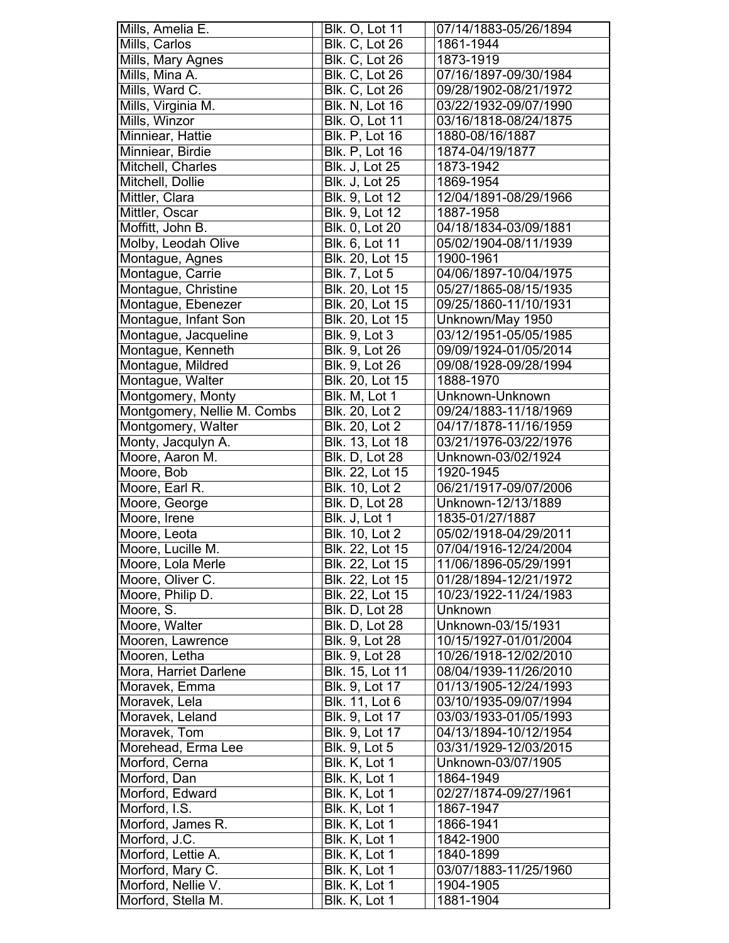| Mills, Amelia E.                       | <b>Blk. O, Lot 11</b>              | 07/14/1883-05/26/1894                          |
|----------------------------------------|------------------------------------|------------------------------------------------|
| Mills, Carlos                          | Blk. C, Lot 26                     | 1861-1944                                      |
| Mills, Mary Agnes                      | <b>Blk. C, Lot 26</b>              | 1873-1919                                      |
| Mills, Mina A.                         | <b>Blk. C, Lot 26</b>              | 07/16/1897-09/30/1984                          |
| Mills, Ward C.                         | Blk. C, Lot 26                     | 09/28/1902-08/21/1972                          |
| Mills, Virginia M.                     | <b>Blk. N, Lot 16</b>              | 03/22/1932-09/07/1990                          |
| Mills, Winzor                          | <b>Blk. O, Lot 11</b>              | 03/16/1818-08/24/1875                          |
| Minniear, Hattie                       | <b>Blk. P, Lot 16</b>              | 1880-08/16/1887                                |
| Minniear, Birdie                       | <b>Blk. P, Lot 16</b>              | 1874-04/19/1877                                |
| Mitchell, Charles                      | <b>Blk. J, Lot 25</b>              | 1873-1942                                      |
| Mitchell, Dollie                       | <b>Blk. J, Lot 25</b>              | 1869-1954                                      |
| Mittler, Clara                         | Blk. 9, Lot 12                     | 12/04/1891-08/29/1966                          |
| Mittler, Oscar                         | Blk. 9, Lot 12                     | 1887-1958                                      |
| Moffitt, John B.                       | Blk. 0, Lot 20                     | 04/18/1834-03/09/1881                          |
| Molby, Leodah Olive                    | Blk. 6, Lot 11                     | 05/02/1904-08/11/1939                          |
| Montague, Agnes                        | Blk. 20, Lot 15                    | 1900-1961                                      |
| Montague, Carrie                       | <b>Blk. 7, Lot 5</b>               | 04/06/1897-10/04/1975                          |
| Montague, Christine                    | Blk. 20, Lot 15                    | 05/27/1865-08/15/1935                          |
| Montague, Ebenezer                     | Blk. 20, Lot 15                    | 09/25/1860-11/10/1931                          |
| Montague, Infant Son                   | Blk. 20, Lot 15                    | Unknown/May 1950                               |
| Montague, Jacqueline                   | <b>Blk. 9, Lot 3</b>               | 03/12/1951-05/05/1985                          |
| Montague, Kenneth                      | Blk. 9, Lot 26                     | 09/09/1924-01/05/2014                          |
| Montague, Mildred                      | Blk. 9, Lot 26                     | 09/08/1928-09/28/1994                          |
| Montague, Walter                       | Blk. 20, Lot 15                    | 1888-1970                                      |
| Montgomery, Monty                      | Blk. M, Lot 1                      | Unknown-Unknown                                |
| Montgomery, Nellie M. Combs            | <b>Blk. 20, Lot 2</b>              | 09/24/1883-11/18/1969                          |
| Montgomery, Walter                     | Blk. 20, Lot 2                     | 04/17/1878-11/16/1959                          |
| Monty, Jacqulyn A.                     | Blk. 13, Lot 18                    | 03/21/1976-03/22/1976                          |
| Moore, Aaron M.                        | Blk. D, Lot 28                     | Unknown-03/02/1924                             |
| Moore, Bob                             | Blk. 22, Lot 15                    | 1920-1945                                      |
| Moore, Earl R.                         | Blk. 10, Lot 2                     | 06/21/1917-09/07/2006                          |
| Moore, George                          | Blk. D, Lot 28                     | Unknown-12/13/1889                             |
| Moore, Irene                           | Blk. J, Lot 1                      | 1835-01/27/1887                                |
| Moore, Leota                           | Blk. 10, Lot 2                     | 05/02/1918-04/29/2011                          |
| Moore, Lucille M.                      | <b>Blk. 22. Lot 15</b>             | 07/04/1916-12/24/2004                          |
|                                        |                                    |                                                |
|                                        |                                    | 11/06/1896-05/29/1991                          |
| Moore, Lola Merle                      | Blk. 22, Lot 15                    | 01/28/1894-12/21/1972                          |
| Moore, Oliver C.                       | Blk. 22, Lot 15<br>Blk. 22, Lot 15 | 10/23/1922-11/24/1983                          |
| Moore, Philip D.                       |                                    | Unknown                                        |
| Moore, S.                              | Blk. D, Lot 28                     | Unknown-03/15/1931                             |
| Moore, Walter                          | Blk. D, Lot 28                     | 10/15/1927-01/01/2004                          |
| Mooren, Lawrence                       | Blk. 9, Lot 28                     | 10/26/1918-12/02/2010                          |
| Mooren, Letha                          | Blk. 9, Lot 28                     | 08/04/1939-11/26/2010                          |
| Mora, Harriet Darlene                  | Blk. 15, Lot 11                    | 01/13/1905-12/24/1993                          |
| Moravek, Emma                          | Blk. 9, Lot 17                     |                                                |
| Moravek, Lela                          | Blk. 11, Lot 6                     | 03/10/1935-09/07/1994                          |
| Moravek, Leland                        | Blk. 9, Lot 17                     | 03/03/1933-01/05/1993                          |
| Moravek, Tom                           | Blk. 9, Lot 17                     | 04/13/1894-10/12/1954<br>03/31/1929-12/03/2015 |
| Morehead, Erma Lee                     | Blk. 9, Lot 5                      | Unknown-03/07/1905                             |
| Morford, Cerna                         | Blk. K, Lot 1                      | 1864-1949                                      |
| Morford, Dan                           | Blk. K, Lot 1                      |                                                |
| Morford, Edward                        | Blk. K, Lot 1                      | 02/27/1874-09/27/1961                          |
| Morford, I.S.<br>Morford, James R.     | Blk. K, Lot 1<br>Blk. K, Lot 1     | 1867-1947                                      |
|                                        | Blk. K, Lot 1                      | 1866-1941<br>1842-1900                         |
| Morford, J.C.<br>Morford, Lettie A.    | Blk. K, Lot 1                      | 1840-1899                                      |
|                                        |                                    | 03/07/1883-11/25/1960                          |
| Morford, Mary C.<br>Morford, Nellie V. | Blk. K, Lot 1<br>Blk. K, Lot 1     | 1904-1905                                      |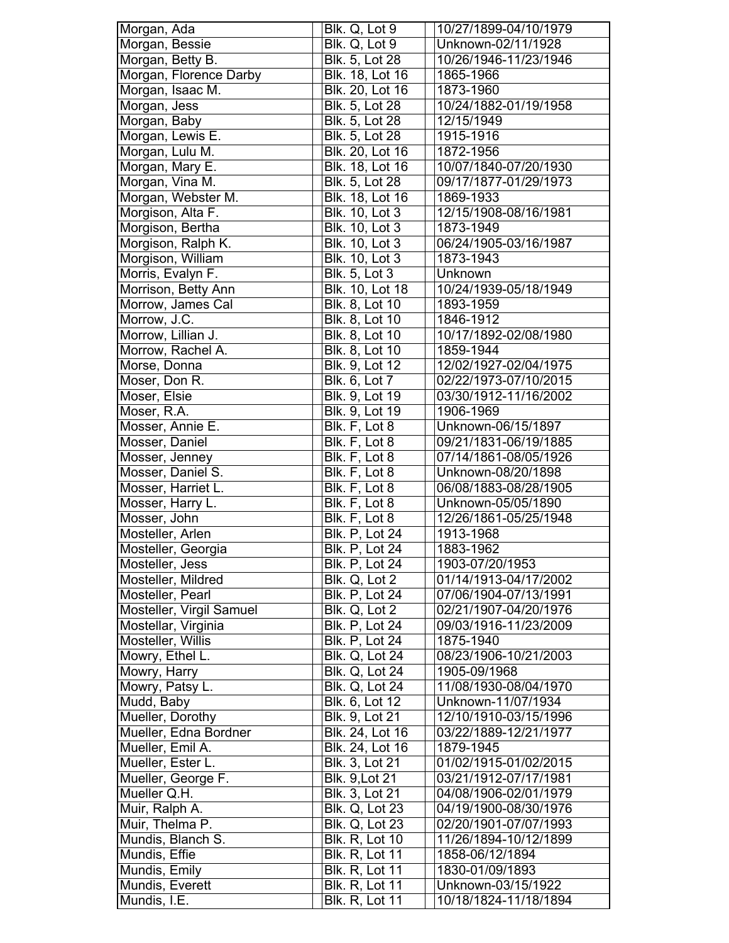| Morgan, Ada              | Blk. Q, Lot 9                        | 10/27/1899-04/10/1979 |
|--------------------------|--------------------------------------|-----------------------|
| Morgan, Bessie           | Blk. Q, Lot 9                        | Unknown-02/11/1928    |
| Morgan, Betty B.         | Blk. 5, Lot 28                       | 10/26/1946-11/23/1946 |
| Morgan, Florence Darby   | Blk. 18, Lot 16                      | 1865-1966             |
| Morgan, Isaac M.         | Blk. 20, Lot 16                      | 1873-1960             |
| Morgan, Jess             | Blk. 5, Lot 28                       | 10/24/1882-01/19/1958 |
| Morgan, Baby             | Blk. 5, Lot 28                       | 12/15/1949            |
| Morgan, Lewis E.         | Blk. 5, Lot 28                       | 1915-1916             |
| Morgan, Lulu M.          | Blk. 20, Lot 16                      | 1872-1956             |
| Morgan, Mary E.          | Blk. 18, Lot 16                      | 10/07/1840-07/20/1930 |
| Morgan, Vina M.          | Blk. 5, Lot 28                       | 09/17/1877-01/29/1973 |
| Morgan, Webster M.       | Blk. 18, Lot 16                      | 1869-1933             |
| Morgison, Alta F.        | Blk. 10, Lot 3                       | 12/15/1908-08/16/1981 |
| Morgison, Bertha         | Blk. 10, Lot 3                       | 1873-1949             |
| Morgison, Ralph K.       | <b>Blk. 10, Lot 3</b>                | 06/24/1905-03/16/1987 |
| Morgison, William        | Blk. 10, Lot 3                       | 1873-1943             |
| Morris, Evalyn F.        | $B$ lk. 5, Lot 3                     | Unknown               |
| Morrison, Betty Ann      | <b>Blk. 10, Lot 18</b>               | 10/24/1939-05/18/1949 |
| Morrow, James Cal        | Blk. 8, Lot 10                       | 1893-1959             |
| Morrow, J.C.             | Blk. 8, Lot 10                       | 1846-1912             |
| Morrow, Lillian J.       | Blk. 8, Lot 10                       | 10/17/1892-02/08/1980 |
| Morrow, Rachel A.        | Blk. 8, Lot 10                       | 1859-1944             |
| Morse, Donna             | Blk. 9, Lot 12                       | 12/02/1927-02/04/1975 |
| Moser, Don R.            | Blk. 6, Lot 7                        | 02/22/1973-07/10/2015 |
| Moser, Elsie             | Blk. 9, Lot 19                       | 03/30/1912-11/16/2002 |
| Moser, R.A.              | Blk. 9, Lot 19                       | 1906-1969             |
| Mosser, Annie E.         | Blk. F, Lot 8                        | Unknown-06/15/1897    |
| Mosser, Daniel           | Blk. F, Lot 8                        | 09/21/1831-06/19/1885 |
| Mosser, Jenney           | Blk. F, Lot 8                        | 07/14/1861-08/05/1926 |
| Mosser, Daniel S.        | Blk. F, Lot 8                        | Unknown-08/20/1898    |
| Mosser, Harriet L.       | Blk. F, Lot 8                        | 06/08/1883-08/28/1905 |
| Mosser, Harry L.         | $\overline{\mathsf{Blk}}$ . F, Lot 8 | Unknown-05/05/1890    |
| Mosser, John             | Blk. F, Lot 8                        | 12/26/1861-05/25/1948 |
| Mosteller, Arlen         | <b>Blk. P, Lot 24</b>                | 1913-1968             |
| Mosteller, Georgia       | Blk. P, Lot 24                       | 1883-1962             |
| Mosteller, Jess          | <b>Blk. P, Lot 24</b>                | 1903-07/20/1953       |
| Mosteller, Mildred       | Blk. Q, Lot 2                        | 01/14/1913-04/17/2002 |
| Mosteller, Pearl         | Blk. P, Lot 24                       | 07/06/1904-07/13/1991 |
| Mosteller, Virgil Samuel | Blk. Q, Lot 2                        | 02/21/1907-04/20/1976 |
| Mostellar, Virginia      | Blk. P, Lot 24                       | 09/03/1916-11/23/2009 |
| Mosteller, Willis        | Blk. P, Lot 24                       | 1875-1940             |
| Mowry, Ethel L.          | <b>Blk. Q, Lot 24</b>                | 08/23/1906-10/21/2003 |
| Mowry, Harry             | Blk. Q, Lot 24                       | 1905-09/1968          |
| Mowry, Patsy L.          | Blk. Q, Lot 24                       | 11/08/1930-08/04/1970 |
| Mudd, Baby               | Blk. 6, Lot 12                       | Unknown-11/07/1934    |
| Mueller, Dorothy         | Blk. 9, Lot 21                       | 12/10/1910-03/15/1996 |
| Mueller, Edna Bordner    | Blk. 24, Lot 16                      | 03/22/1889-12/21/1977 |
| Mueller, Emil A.         | Blk. 24, Lot 16                      | 1879-1945             |
| Mueller, Ester L.        | Blk. 3, Lot 21                       | 01/02/1915-01/02/2015 |
| Mueller, George F.       | <b>Blk. 9, Lot 21</b>                | 03/21/1912-07/17/1981 |
| Mueller Q.H.             | Blk. 3, Lot 21                       | 04/08/1906-02/01/1979 |
| Muir, Ralph A.           | <b>Blk. Q, Lot 23</b>                | 04/19/1900-08/30/1976 |
| Muir, Thelma P.          | <b>Blk. Q, Lot 23</b>                | 02/20/1901-07/07/1993 |
| Mundis, Blanch S.        | <b>Blk. R, Lot 10</b>                | 11/26/1894-10/12/1899 |
| Mundis, Effie            | <b>Blk. R, Lot 11</b>                | 1858-06/12/1894       |
| Mundis, Emily            | <b>Blk. R, Lot 11</b>                | 1830-01/09/1893       |
| Mundis, Everett          | <b>Blk. R, Lot 11</b>                | Unknown-03/15/1922    |
|                          |                                      |                       |
| Mundis, I.E.             | <b>Blk. R, Lot 11</b>                | 10/18/1824-11/18/1894 |